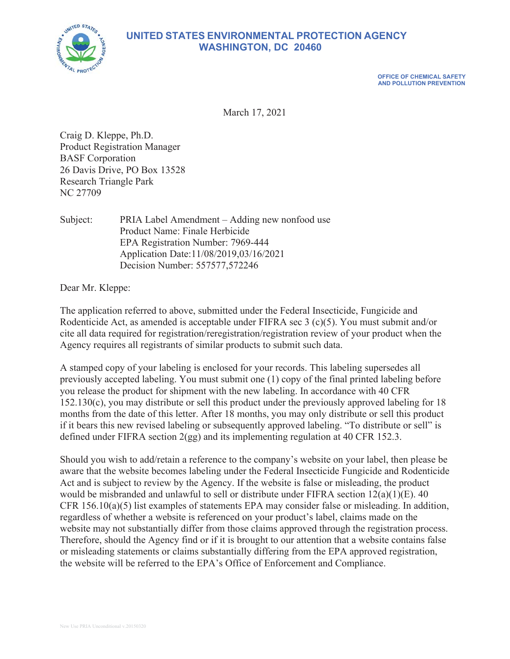

# **UNITED STATES ENVIRONMENTAL PROTECTION AGENCY WASHINGTON, DC 20460**

**OFFICE OF CHEMICAL SAFETY AND POLLUTION PREVENTION** 

March 17, 2021

Craig D. Kleppe, Ph.D. Product Registration Manager BASF Corporation 26 Davis Drive, PO Box 13528 Research Triangle Park NC 27709

Subject: PRIA Label Amendment – Adding new nonfood use Product Name: Finale Herbicide EPA Registration Number: 7969-444 Application Date:11/08/2019,03/16/2021 Decision Number: 557577,572246

Dear Mr. Kleppe:

The application referred to above, submitted under the Federal Insecticide, Fungicide and Rodenticide Act, as amended is acceptable under FIFRA sec 3 (c)(5). You must submit and/or cite all data required for registration/reregistration/registration review of your product when the Agency requires all registrants of similar products to submit such data.

A stamped copy of your labeling is enclosed for your records. This labeling supersedes all previously accepted labeling. You must submit one (1) copy of the final printed labeling before you release the product for shipment with the new labeling. In accordance with 40 CFR 152.130(c), you may distribute or sell this product under the previously approved labeling for 18 months from the date of this letter. After 18 months, you may only distribute or sell this product if it bears this new revised labeling or subsequently approved labeling. "To distribute or sell" is defined under FIFRA section 2(gg) and its implementing regulation at 40 CFR 152.3.

Should you wish to add/retain a reference to the company's website on your label, then please be aware that the website becomes labeling under the Federal Insecticide Fungicide and Rodenticide Act and is subject to review by the Agency. If the website is false or misleading, the product would be misbranded and unlawful to sell or distribute under FIFRA section 12(a)(1)(E). 40 CFR  $156.10(a)(5)$  list examples of statements EPA may consider false or misleading. In addition, regardless of whether a website is referenced on your product's label, claims made on the website may not substantially differ from those claims approved through the registration process. Therefore, should the Agency find or if it is brought to our attention that a website contains false or misleading statements or claims substantially differing from the EPA approved registration, the website will be referred to the EPA's Office of Enforcement and Compliance.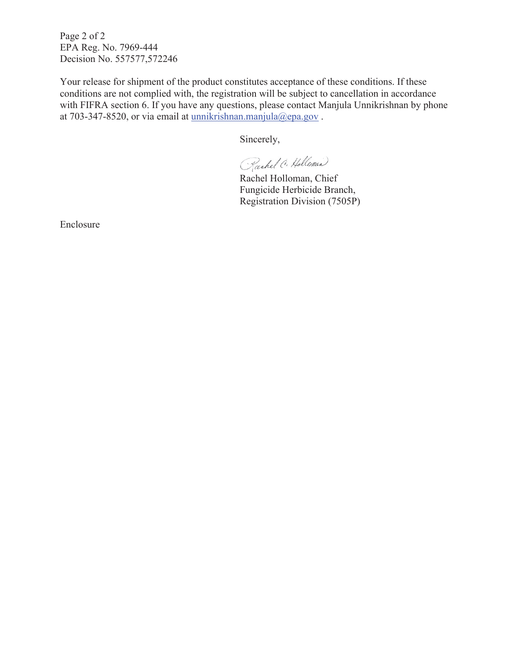Page 2 of 2 EPA Reg. No. 7969-444 Decision No. 557577,572246

Your release for shipment of the product constitutes acceptance of these conditions. If these conditions are not complied with, the registration will be subject to cancellation in accordance with FIFRA section 6. If you have any questions, please contact Manjula Unnikrishnan by phone at 703-347-8520, or via email at unnikrishnan.manjula@epa.gov .

Sincerely,

Rachel C. Holloman

Rachel Holloman, Chief Fungicide Herbicide Branch, Registration Division (7505P)

Enclosure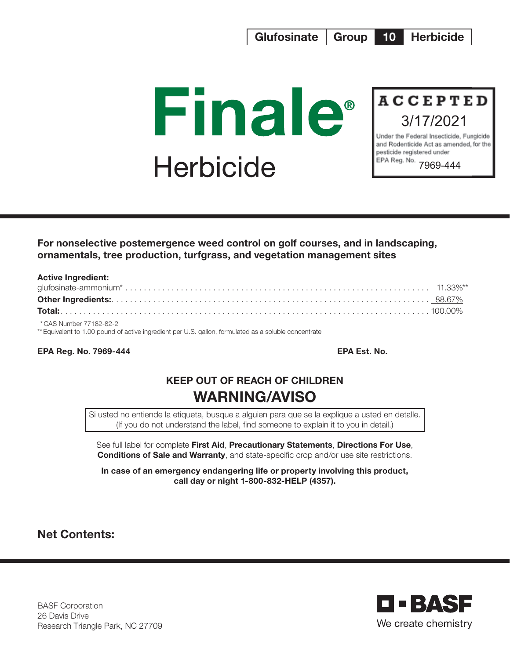



and Rodenticide Act as amended, for the pesticide registered under EPA Reg. No. 7969-444

For nonselective postemergence weed control on golf courses, and in landscaping, ornamentals, tree production, turfgrass, and vegetation management sites

| <b>Active Ingredient:</b>                                                                             |  |
|-------------------------------------------------------------------------------------------------------|--|
|                                                                                                       |  |
|                                                                                                       |  |
|                                                                                                       |  |
| *CAS Number 77182-82-2                                                                                |  |
| ** Equivalent to 1.00 pound of active ingredient per U.S. gallon, formulated as a soluble concentrate |  |

EPA Reg. No. 7969-444 EPA Est. No.

# KEEP OUT OF REACH OF CHILDREN WARNING/AVISO

Si usted no entiende la etiqueta, busque a alguien para que se la explique a usted en detalle. (If you do not understand the label, find someone to explain it to you in detail.)

See full label for complete First Aid, Precautionary Statements, Directions For Use, **Conditions of Sale and Warranty**, and state-specific crop and/or use site restrictions.

In case of an emergency endangering life or property involving this product, call day or night 1-800-832-HELP (4357).

Net Contents:



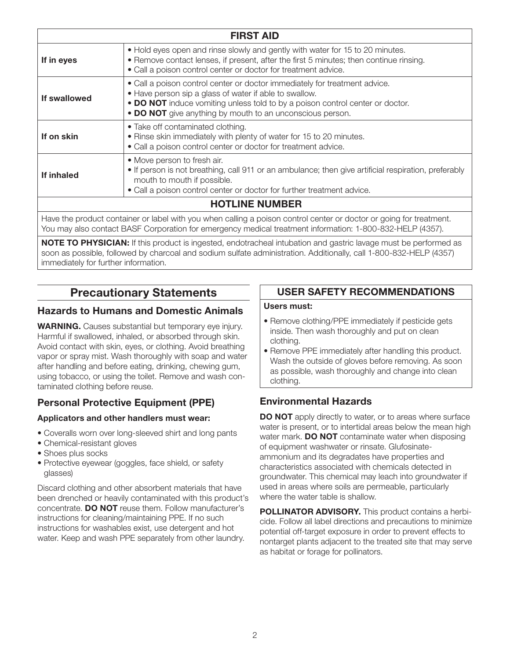|              | <b>FIRST AID</b>                                                                                                                                                                                                                                                                   |
|--------------|------------------------------------------------------------------------------------------------------------------------------------------------------------------------------------------------------------------------------------------------------------------------------------|
| If in eyes   | • Hold eyes open and rinse slowly and gently with water for 15 to 20 minutes.<br>• Remove contact lenses, if present, after the first 5 minutes; then continue rinsing.<br>• Call a poison control center or doctor for treatment advice.                                          |
| If swallowed | • Call a poison control center or doctor immediately for treatment advice.<br>• Have person sip a glass of water if able to swallow.<br>• DO NOT induce vomiting unless told to by a poison control center or doctor.<br>• DO NOT give anything by mouth to an unconscious person. |
| If on skin   | • Take off contaminated clothing.<br>. Rinse skin immediately with plenty of water for 15 to 20 minutes.<br>• Call a poison control center or doctor for treatment advice.                                                                                                         |
| If inhaled   | • Move person to fresh air.<br>• If person is not breathing, call 911 or an ambulance; then give artificial respiration, preferably<br>mouth to mouth if possible.<br>. Call a poison control center or doctor for further treatment advice.                                       |
|              | <b>HOTLINE NUMBER</b>                                                                                                                                                                                                                                                              |
|              | Have the product container or label with you when calling a poison control center or doctor or going for treatment.                                                                                                                                                                |

Have the product container or label with you when calling a poison control center or doctor or going for treatment. You may also contact BASF Corporation for emergency medical treatment information: 1-800-832-HELP (4357).

NOTE TO PHYSICIAN: If this product is ingested, endotracheal intubation and gastric lavage must be performed as soon as possible, followed by charcoal and sodium sulfate administration. Additionally, call 1-800-832-HELP (4357) immediately for further information.

## Precautionary Statements

#### Hazards to Humans and Domestic Animals

**WARNING.** Causes substantial but temporary eye injury. Harmful if swallowed, inhaled, or absorbed through skin. Avoid contact with skin, eyes, or clothing. Avoid breathing vapor or spray mist. Wash thoroughly with soap and water after handling and before eating, drinking, chewing gum, using tobacco, or using the toilet. Remove and wash contaminated clothing before reuse.

## Personal Protective Equipment (PPE)

#### Applicators and other handlers must wear:

- Coveralls worn over long-sleeved shirt and long pants
- Chemical-resistant gloves
- Shoes plus socks
- Protective eyewear (goggles, face shield, or safety glasses)

Discard clothing and other absorbent materials that have been drenched or heavily contaminated with this product's concentrate. DO NOT reuse them. Follow manufacturer's instructions for cleaning/maintaining PPE. If no such instructions for washables exist, use detergent and hot water. Keep and wash PPE separately from other laundry.

## USER SAFETY RECOMMENDATIONS

#### Users must:

- Remove clothing/PPE immediately if pesticide gets inside. Then wash thoroughly and put on clean clothing.
- Remove PPE immediately after handling this product. Wash the outside of gloves before removing. As soon as possible, wash thoroughly and change into clean clothing.

## Environmental Hazards

**DO NOT** apply directly to water, or to areas where surface water is present, or to intertidal areas below the mean high water mark. **DO NOT** contaminate water when disposing of equipment washwater or rinsate. Glufosinateammonium and its degradates have properties and characteristics associated with chemicals detected in groundwater. This chemical may leach into groundwater if used in areas where soils are permeable, particularly where the water table is shallow.

POLLINATOR ADVISORY. This product contains a herbicide. Follow all label directions and precautions to minimize potential off-target exposure in order to prevent effects to nontarget plants adjacent to the treated site that may serve as habitat or forage for pollinators.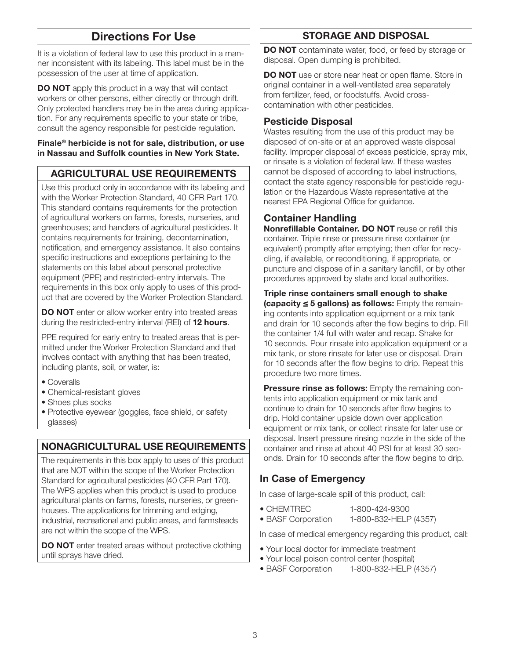## Directions For Use

It is a violation of federal law to use this product in a manner inconsistent with its labeling. This label must be in the possession of the user at time of application.

**DO NOT** apply this product in a way that will contact workers or other persons, either directly or through drift. Only protected handlers may be in the area during application. For any requirements specific to your state or tribe, consult the agency responsible for pesticide regulation.

#### Finale® herbicide is not for sale, distribution, or use in Nassau and Suffolk counties in New York State.

## AGRICULTURAL USE REQUIREMENTS

Use this product only in accordance with its labeling and with the Worker Protection Standard, 40 CFR Part 170. This standard contains requirements for the protection of agricultural workers on farms, forests, nurseries, and greenhouses; and handlers of agricultural pesticides. It contains requirements for training, decontamination, notification, and emergency assistance. It also contains specific instructions and exceptions pertaining to the statements on this label about personal protective equipment (PPE) and restricted-entry intervals. The requirements in this box only apply to uses of this product that are covered by the Worker Protection Standard.

DO NOT enter or allow worker entry into treated areas during the restricted-entry interval (REI) of 12 hours.

PPE required for early entry to treated areas that is permitted under the Worker Protection Standard and that involves contact with anything that has been treated, including plants, soil, or water, is:

- Coveralls
- Chemical-resistant gloves
- Shoes plus socks
- Protective eyewear (goggles, face shield, or safety glasses)

## NONAGRICULTURAL USE REQUIREMENTS

The requirements in this box apply to uses of this product that are NOT within the scope of the Worker Protection Standard for agricultural pesticides (40 CFR Part 170). The WPS applies when this product is used to produce agricultural plants on farms, forests, nurseries, or greenhouses. The applications for trimming and edging, industrial, recreational and public areas, and farmsteads are not within the scope of the WPS.

DO NOT enter treated areas without protective clothing until sprays have dried.

## STORAGE AND DISPOSAL

DO NOT contaminate water, food, or feed by storage or disposal. Open dumping is prohibited.

DO NOT use or store near heat or open flame. Store in original container in a well-ventilated area separately from fertilizer, feed, or foodstuffs. Avoid crosscontamination with other pesticides.

## Pesticide Disposal

Wastes resulting from the use of this product may be disposed of on-site or at an approved waste disposal facility. Improper disposal of excess pesticide, spray mix, or rinsate is a violation of federal law. If these wastes cannot be disposed of according to label instructions, contact the state agency responsible for pesticide regulation or the Hazardous Waste representative at the nearest EPA Regional Office for guidance.

## Container Handling

Nonrefillable Container. DO NOT reuse or refill this container. Triple rinse or pressure rinse container (or equivalent) promptly after emptying; then offer for recycling, if available, or reconditioning, if appropriate, or puncture and dispose of in a sanitary landfill, or by other procedures approved by state and local authorities.

Triple rinse containers small enough to shake (capacity ≤ 5 gallons) as follows: Empty the remaining contents into application equipment or a mix tank and drain for 10 seconds after the flow begins to drip. Fill the container 1/4 full with water and recap. Shake for 10 seconds. Pour rinsate into application equipment or a mix tank, or store rinsate for later use or disposal. Drain for 10 seconds after the flow begins to drip. Repeat this procedure two more times.

**Pressure rinse as follows:** Empty the remaining contents into application equipment or mix tank and continue to drain for 10 seconds after flow begins to drip. Hold container upside down over application equipment or mix tank, or collect rinsate for later use or disposal. Insert pressure rinsing nozzle in the side of the container and rinse at about 40 PSI for at least 30 seconds. Drain for 10 seconds after the flow begins to drip.

## In Case of Emergency

In case of large-scale spill of this product, call:

- CHEMTREC 1-800-424-9300
- BASF Corporation 1-800-832-HELP (4357)

In case of medical emergency regarding this product, call:

- Your local doctor for immediate treatment
- Your local poison control center (hospital)
- BASF Corporation 1-800-832-HELP (4357)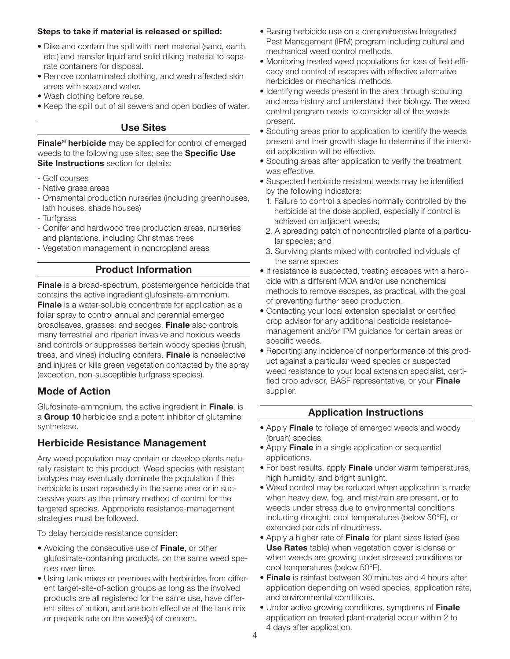#### Steps to take if material is released or spilled:

- Dike and contain the spill with inert material (sand, earth, etc.) and transfer liquid and solid diking material to separate containers for disposal.
- Remove contaminated clothing, and wash affected skin areas with soap and water.
- Wash clothing before reuse.
- Keep the spill out of all sewers and open bodies of water.

#### Use Sites

Finale<sup>®</sup> herbicide may be applied for control of emerged weeds to the following use sites; see the **Specific Use Site Instructions** section for details:

- Golf courses
- Native grass areas
- Ornamental production nurseries (including greenhouses, lath houses, shade houses)
- Turfgrass
- Conifer and hardwood tree production areas, nurseries and plantations, including Christmas trees
- Vegetation management in noncropland areas

#### Product Information

Finale is a broad-spectrum, postemergence herbicide that contains the active ingredient glufosinate-ammonium. **Finale** is a water-soluble concentrate for application as a foliar spray to control annual and perennial emerged broadleaves, grasses, and sedges. Finale also controls many terrestrial and riparian invasive and noxious weeds and controls or suppresses certain woody species (brush, trees, and vines) including conifers. Finale is nonselective and injures or kills green vegetation contacted by the spray (exception, non-susceptible turfgrass species).

## Mode of Action

Glufosinate-ammonium, the active ingredient in Finale, is a Group 10 herbicide and a potent inhibitor of glutamine synthetase.

#### Herbicide Resistance Management

Any weed population may contain or develop plants naturally resistant to this product. Weed species with resistant biotypes may eventually dominate the population if this herbicide is used repeatedly in the same area or in successive years as the primary method of control for the targeted species. Appropriate resistance-management strategies must be followed.

To delay herbicide resistance consider:

- Avoiding the consecutive use of Finale, or other glufosinate- containing products, on the same weed species over time.
- Using tank mixes or premixes with herbicides from different target-site-of-action groups as long as the involved products are all registered for the same use, have different sites of action, and are both effective at the tank mix or prepack rate on the weed(s) of concern.
- Basing herbicide use on a comprehensive Integrated Pest Management (IPM) program including cultural and mechanical weed control methods.
- Monitoring treated weed populations for loss of field efficacy and control of escapes with effective alternative herbicides or mechanical methods.
- Identifying weeds present in the area through scouting and area history and understand their biology. The weed control program needs to consider all of the weeds present.
- Scouting areas prior to application to identify the weeds present and their growth stage to determine if the intended application will be effective.
- Scouting areas after application to verify the treatment was effective.
- Suspected herbicide resistant weeds may be identified by the following indicators:
	- 1. Failure to control a species normally controlled by the herbicide at the dose applied, especially if control is achieved on adjacent weeds;
- 2. A spreading patch of noncontrolled plants of a particular species; and
- 3. Surviving plants mixed with controlled individuals of the same species
- If resistance is suspected, treating escapes with a herbicide with a different MOA and/or use nonchemical methods to remove escapes, as practical, with the goal of preventing further seed production.
- Contacting your local extension specialist or certified crop advisor for any additional pesticide resistancemanagement and/or IPM guidance for certain areas or specific weeds.
- Reporting any incidence of nonperformance of this product against a particular weed species or suspected weed resistance to your local extension specialist, certified crop advisor, BASF representative, or your Finale supplier.

#### Application Instructions

- Apply **Finale** to foliage of emerged weeds and woody (brush) species.
- Apply Finale in a single application or sequential applications.
- For best results, apply Finale under warm temperatures, high humidity, and bright sunlight.
- Weed control may be reduced when application is made when heavy dew, fog, and mist/rain are present, or to weeds under stress due to environmental conditions including drought, cool temperatures (below 50°F), or extended periods of cloudiness.
- Apply a higher rate of Finale for plant sizes listed (see Use Rates table) when vegetation cover is dense or when weeds are growing under stressed conditions or cool temperatures (below 50°F).
- **Finale** is rainfast between 30 minutes and 4 hours after application depending on weed species, application rate, and environmental conditions.
- Under active growing conditions, symptoms of Finale application on treated plant material occur within 2 to 4 days after application.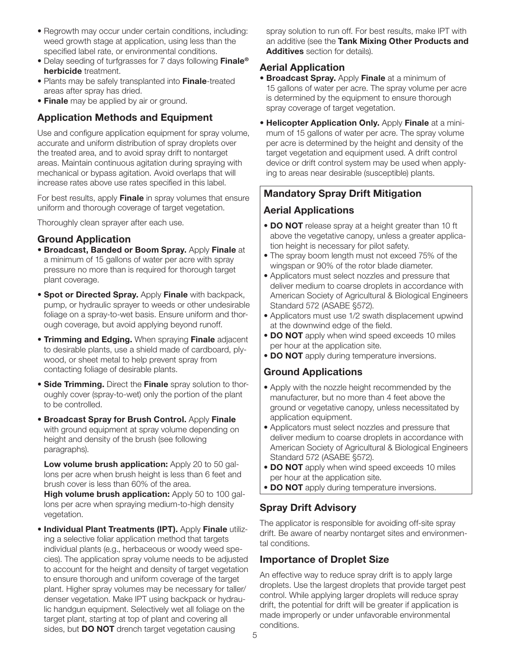- Regrowth may occur under certain conditions, including: weed growth stage at application, using less than the specified label rate, or environmental conditions.
- Delay seeding of turfgrasses for 7 days following **Finale**<sup>®</sup> herbicide treatment.
- Plants may be safely transplanted into Finale-treated areas after spray has dried.
- Finale may be applied by air or ground.

## Application Methods and Equipment

Use and configure application equipment for spray volume, accurate and uniform distribution of spray droplets over the treated area, and to avoid spray drift to nontarget areas. Maintain continuous agitation during spraying with mechanical or bypass agitation. Avoid overlaps that will increase rates above use rates specified in this label.

For best results, apply Finale in spray volumes that ensure uniform and thorough coverage of target vegetation.

Thoroughly clean sprayer after each use.

### Ground Application

- Broadcast, Banded or Boom Spray. Apply Finale at a minimum of 15 gallons of water per acre with spray pressure no more than is required for thorough target plant coverage.
- **Spot or Directed Spray.** Apply Finale with backpack, pump, or hydraulic sprayer to weeds or other undesirable foliage on a spray-to-wet basis. Ensure uniform and thorough coverage, but avoid applying beyond runoff.
- **Trimming and Edging.** When spraying Finale adjacent to desirable plants, use a shield made of cardboard, plywood, or sheet metal to help prevent spray from contacting foliage of desirable plants.
- **Side Trimming.** Direct the Finale spray solution to thoroughly cover (spray-to-wet) only the portion of the plant to be controlled.
- Broadcast Spray for Brush Control. Apply Finale with ground equipment at spray volume depending on height and density of the brush (see following paragraphs).

Low volume brush application: Apply 20 to 50 gallons per acre when brush height is less than 6 feet and brush cover is less than 60% of the area.

High volume brush application: Apply 50 to 100 gallons per acre when spraying medium-to-high density vegetation.

• Individual Plant Treatments (IPT). Apply Finale utilizing a selective foliar application method that targets individual plants (e.g., herbaceous or woody weed species). The application spray volume needs to be adjusted to account for the height and density of target vegetation to ensure thorough and uniform coverage of the target plant. Higher spray volumes may be necessary for taller/ denser vegetation. Make IPT using backpack or hydraulic handgun equipment. Selectively wet all foliage on the target plant, starting at top of plant and covering all sides, but **DO NOT** drench target vegetation causing

spray solution to run off. For best results, make IPT with an additive (see the Tank Mixing Other Products and Additives section for details).

### Aerial Application

- **Broadcast Spray.** Apply Finale at a minimum of 15 gallons of water per acre. The spray volume per acre is determined by the equipment to ensure thorough spray coverage of target vegetation.
- Helicopter Application Only. Apply Finale at a minimum of 15 gallons of water per acre. The spray volume per acre is determined by the height and density of the target vegetation and equipment used. A drift control device or drift control system may be used when applying to areas near desirable (susceptible) plants.

## Mandatory Spray Drift Mitigation

## Aerial Applications

- DO NOT release spray at a height greater than 10 ft above the vegetative canopy, unless a greater application height is necessary for pilot safety.
- The spray boom length must not exceed 75% of the wingspan or 90% of the rotor blade diameter.
- Applicators must select nozzles and pressure that deliver medium to coarse droplets in accordance with American Society of Agricultural & Biological Engineers Standard 572 (ASABE §572).
- Applicators must use 1/2 swath displacement upwind at the downwind edge of the field.
- DO NOT apply when wind speed exceeds 10 miles per hour at the application site.
- DO NOT apply during temperature inversions.

## Ground Applications

- Apply with the nozzle height recommended by the manufacturer, but no more than 4 feet above the ground or vegetative canopy, unless necessitated by application equipment.
- Applicators must select nozzles and pressure that deliver medium to coarse droplets in accordance with American Society of Agricultural & Biological Engineers Standard 572 (ASABE §572).
- DO NOT apply when wind speed exceeds 10 miles per hour at the application site.
- DO NOT apply during temperature inversions.

## Spray Drift Advisory

The applicator is responsible for avoiding off-site spray drift. Be aware of nearby nontarget sites and environmental conditions.

## Importance of Droplet Size

An effective way to reduce spray drift is to apply large droplets. Use the largest droplets that provide target pest control. While applying larger droplets will reduce spray drift, the potential for drift will be greater if application is made improperly or under unfavorable environmental conditions.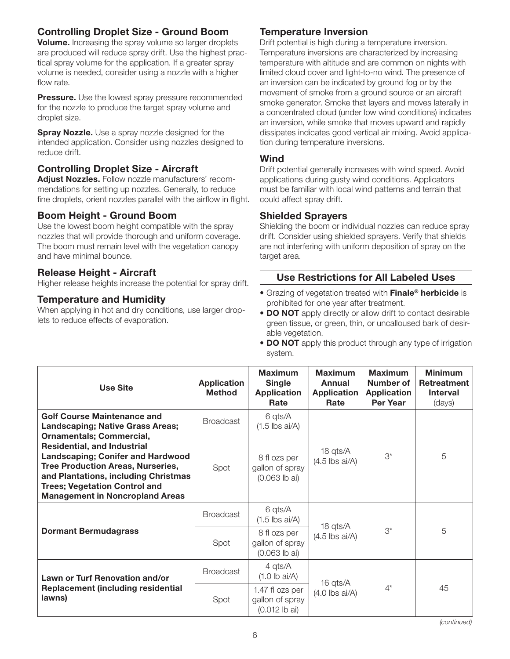## Controlling Droplet Size - Ground Boom

Volume. Increasing the spray volume so larger droplets are produced will reduce spray drift. Use the highest practical spray volume for the application. If a greater spray volume is needed, consider using a nozzle with a higher flow rate.

**Pressure.** Use the lowest spray pressure recommended for the nozzle to produce the target spray volume and droplet size.

**Spray Nozzle.** Use a spray nozzle designed for the intended application. Consider using nozzles designed to reduce drift.

### Controlling Droplet Size - Aircraft

Adjust Nozzles. Follow nozzle manufacturers' recommendations for setting up nozzles. Generally, to reduce fine droplets, orient nozzles parallel with the airflow in flight.

#### Boom Height - Ground Boom

Use the lowest boom height compatible with the spray nozzles that will provide thorough and uniform coverage. The boom must remain level with the vegetation canopy and have minimal bounce.

#### Release Height - Aircraft

Higher release heights increase the potential for spray drift.

#### Temperature and Humidity

When applying in hot and dry conditions, use larger droplets to reduce effects of evaporation.

### Temperature Inversion

Drift potential is high during a temperature inversion. Temperature inversions are characterized by increasing temperature with altitude and are common on nights with limited cloud cover and light-to-no wind. The presence of an inversion can be indicated by ground fog or by the movement of smoke from a ground source or an aircraft smoke generator. Smoke that layers and moves laterally in a concentrated cloud (under low wind conditions) indicates an inversion, while smoke that moves upward and rapidly dissipates indicates good vertical air mixing. Avoid application during temperature inversions.

#### Wind

Drift potential generally increases with wind speed. Avoid applications during gusty wind conditions. Applicators must be familiar with local wind patterns and terrain that could affect spray drift.

#### Shielded Sprayers

Shielding the boom or individual nozzles can reduce spray drift. Consider using shielded sprayers. Verify that shields are not interfering with uniform deposition of spray on the target area.

#### Use Restrictions for All Labeled Uses

- Grazing of vegetation treated with Finale<sup>®</sup> herbicide is prohibited for one year after treatment.
- **DO NOT** apply directly or allow drift to contact desirable green tissue, or green, thin, or uncalloused bark of desirable vegetation.
- DO NOT apply this product through any type of irrigation system.

| <b>Use Site</b>                                                                                                                                                                                                                                                                         | <b>Application</b><br><b>Method</b> | <b>Maximum</b><br><b>Single</b><br><b>Application</b><br>Rate | <b>Maximum</b><br>Annual<br><b>Application</b><br>Rate | <b>Maximum</b><br><b>Number of</b><br><b>Application</b><br><b>Per Year</b> | <b>Minimum</b><br><b>Retreatment</b><br><b>Interval</b><br>(days) |
|-----------------------------------------------------------------------------------------------------------------------------------------------------------------------------------------------------------------------------------------------------------------------------------------|-------------------------------------|---------------------------------------------------------------|--------------------------------------------------------|-----------------------------------------------------------------------------|-------------------------------------------------------------------|
| <b>Golf Course Maintenance and</b><br><b>Landscaping; Native Grass Areas;</b>                                                                                                                                                                                                           | <b>Broadcast</b>                    | 6 qts/A<br>$(1.5$ lbs ai/A)                                   |                                                        | $3^*$                                                                       | 5                                                                 |
| <b>Ornamentals; Commercial,</b><br><b>Residential, and Industrial</b><br><b>Landscaping; Conifer and Hardwood</b><br><b>Tree Production Areas, Nurseries,</b><br>and Plantations, including Christmas<br><b>Trees; Vegetation Control and</b><br><b>Management in Noncropland Areas</b> | Spot                                | 8 fl ozs per<br>gallon of spray<br>$(0.063$ lb ai)            | 18 qts/A<br>$(4.5$ lbs ai/A)                           |                                                                             |                                                                   |
| <b>Dormant Bermudagrass</b>                                                                                                                                                                                                                                                             | <b>Broadcast</b>                    | 6 qts/A<br>$(1.5$ lbs ai/A)                                   | 18 qts/A<br>$(4.5$ lbs ai/A)                           | $3^*$                                                                       | 5                                                                 |
|                                                                                                                                                                                                                                                                                         | Spot                                | 8 fl ozs per<br>gallon of spray<br>$(0.063$ lb ai)            |                                                        |                                                                             |                                                                   |
| Lawn or Turf Renovation and/or<br><b>Replacement (including residential</b><br>lawns)                                                                                                                                                                                                   | <b>Broadcast</b>                    | 4 qts/A<br>$(1.0$ lb ai/A)                                    | 16 qts/A<br>$(4.0$ lbs ai/A)                           | $4^*$                                                                       | 45                                                                |
|                                                                                                                                                                                                                                                                                         | Spot                                | 1.47 fl ozs per<br>gallon of spray<br>$(0.012$ lb ai)         |                                                        |                                                                             |                                                                   |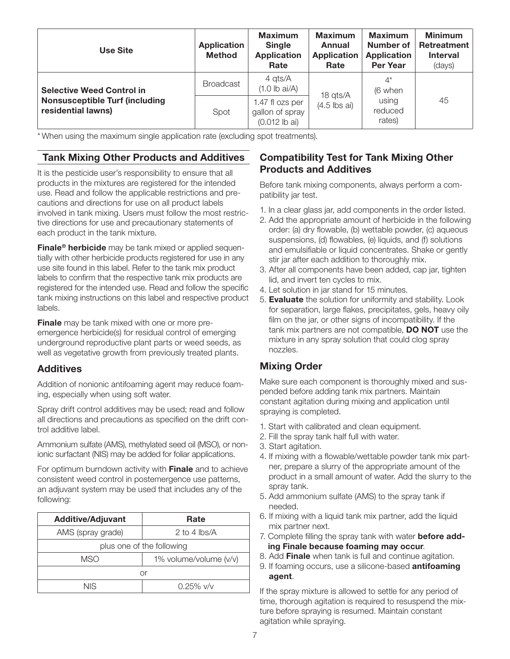| Use Site                                                    | <b>Application</b><br><b>Method</b> | <b>Maximum</b><br><b>Single</b><br><b>Application</b><br>Rate | <b>Maximum</b><br>Annual<br><b>Application</b><br>Rate | <b>Maximum</b><br><b>Number of</b><br><b>Application</b><br><b>Per Year</b> | <b>Minimum</b><br>Retreatment<br><b>Interval</b><br>(days) |
|-------------------------------------------------------------|-------------------------------------|---------------------------------------------------------------|--------------------------------------------------------|-----------------------------------------------------------------------------|------------------------------------------------------------|
| <b>Selective Weed Control in</b>                            | <b>Broadcast</b>                    | 4 qts/A<br>$(1.0$ lb ai/A)                                    | 18 qts/A                                               | $4^*$<br>(6 when                                                            |                                                            |
| <b>Nonsusceptible Turf (including</b><br>residential lawns) | Spot                                | 1.47 fl ozs per<br>gallon of spray<br>$(0.012$ lb ai)         | $(4.5$ lbs ai)                                         | using<br>reduced<br>rates)                                                  | 45                                                         |

\* When using the maximum single application rate (excluding spot treatments).

### Tank Mixing Other Products and Additives

It is the pesticide user's responsibility to ensure that all products in the mixtures are registered for the intended use. Read and follow the applicable restrictions and precautions and directions for use on all product labels involved in tank mixing. Users must follow the most restrictive directions for use and precautionary statements of each product in the tank mixture.

Finale<sup>®</sup> herbicide may be tank mixed or applied sequentially with other herbicide products registered for use in any use site found in this label. Refer to the tank mix product labels to confirm that the respective tank mix products are registered for the intended use. Read and follow the specific tank mixing instructions on this label and respective product labels.

**Finale** may be tank mixed with one or more preemergence herbicide(s) for residual control of emerging underground reproductive plant parts or weed seeds, as well as vegetative growth from previously treated plants.

#### Additives

Addition of nonionic antifoaming agent may reduce foaming, especially when using soft water.

Spray drift control additives may be used; read and follow all directions and precautions as specified on the drift control additive label.

Ammonium sulfate (AMS), methylated seed oil (MSO), or nonionic surfactant (NIS) may be added for foliar applications.

For optimum burndown activity with **Finale** and to achieve consistent weed control in postemergence use patterns, an adjuvant system may be used that includes any of the following:

| <b>Additive/Adjuvant</b>      | Rate                  |  |
|-------------------------------|-----------------------|--|
| AMS (spray grade)             | 2 to 4 $\text{lbs/A}$ |  |
| plus one of the following     |                       |  |
| 1% volume/volume (v/v)<br>MSO |                       |  |
| Or                            |                       |  |
| NIS                           | $0.25\%$ v/v          |  |

### Compatibility Test for Tank Mixing Other Products and Additives

Before tank mixing components, always perform a compatibility jar test.

- 1. In a clear glass jar, add components in the order listed.
- 2. Add the appropriate amount of herbicide in the following order: (a) dry flowable, (b) wettable powder, (c) aqueous suspensions, (d) flowables, (e) liquids, and (f) solutions and emulsifiable or liquid concentrates. Shake or gently stir jar after each addition to thoroughly mix.
- 3. After all components have been added, cap jar, tighten lid, and invert ten cycles to mix.
- 4. Let solution in jar stand for 15 minutes.
- 5. Evaluate the solution for uniformity and stability. Look for separation, large flakes, precipitates, gels, heavy oily film on the jar, or other signs of incompatibility. If the tank mix partners are not compatible, **DO NOT** use the mixture in any spray solution that could clog spray nozzles.

## Mixing Order

Make sure each component is thoroughly mixed and suspended before adding tank mix partners. Maintain constant agitation during mixing and application until spraying is completed.

- 1. Start with calibrated and clean equipment.
- 2. Fill the spray tank half full with water.
- 3. Start agitation.
- 4. If mixing with a flowable/wettable powder tank mix partner, prepare a slurry of the appropriate amount of the product in a small amount of water. Add the slurry to the spray tank.
- 5. Add ammonium sulfate (AMS) to the spray tank if needed.
- 6. If mixing with a liquid tank mix partner, add the liquid mix partner next.
- 7. Complete filling the spray tank with water **before add**ing Finale because foaming may occur.
- 8. Add Finale when tank is full and continue agitation.
- 9. If foaming occurs, use a silicone-based **antifoaming** agent.

If the spray mixture is allowed to settle for any period of time, thorough agitation is required to resuspend the mixture before spraying is resumed. Maintain constant agitation while spraying.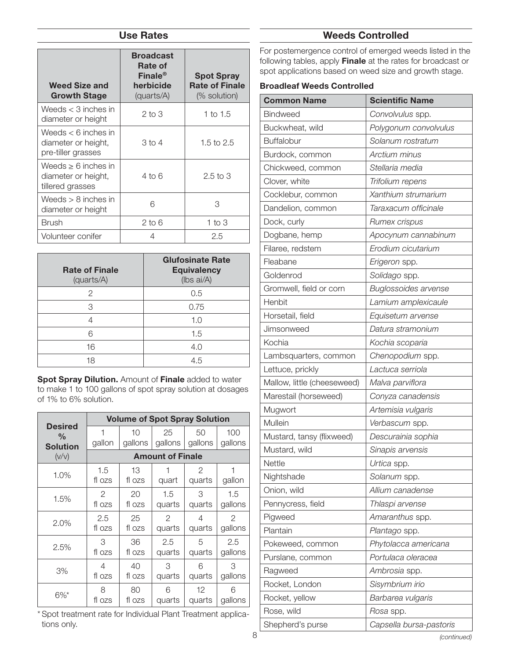#### Use Rates

| <b>Weed Size and</b><br><b>Growth Stage</b>                         | <b>Broadcast</b><br><b>Rate of</b><br>Finale <sup>®</sup><br>herbicide<br>(quarts/A) | <b>Spot Spray</b><br><b>Rate of Finale</b><br>(% solution) |
|---------------------------------------------------------------------|--------------------------------------------------------------------------------------|------------------------------------------------------------|
| Weeds $<$ 3 inches in<br>diameter or height                         | $2$ to $3$                                                                           | 1 to $1.5$                                                 |
| Weeds $<$ 6 inches in<br>diameter or height,<br>pre-tiller grasses  | 3 to 4                                                                               | 1.5 to $2.5$                                               |
| Weeds $\geq 6$ inches in<br>diameter or height,<br>tillered grasses | 4 to 6                                                                               | $2.5$ to $3$                                               |
| Weeds $> 8$ inches in<br>diameter or height                         | 6                                                                                    | З                                                          |
| Brush                                                               | $2$ to $6$                                                                           | 1 to $3$                                                   |
| Volunteer conifer                                                   | 4                                                                                    | 2.5                                                        |

| <b>Rate of Finale</b><br>(quarts/A) | <b>Glufosinate Rate</b><br><b>Equivalency</b><br>(Ibs ai/A) |
|-------------------------------------|-------------------------------------------------------------|
| 2                                   | 0.5                                                         |
| З                                   | 0.75                                                        |
|                                     | 1.0                                                         |
| հ                                   | 1.5                                                         |
| 16                                  | 4.0                                                         |
| 18                                  | 45                                                          |

Spot Spray Dilution. Amount of Finale added to water to make 1 to 100 gallons of spot spray solution at dosages of 1% to 6% solution.

|                                 |               |         |                         | <b>Volume of Spot Spray Solution</b> |               |  |
|---------------------------------|---------------|---------|-------------------------|--------------------------------------|---------------|--|
| <b>Desired</b><br>$\frac{0}{0}$ | 1             | 10      | 25                      | 50                                   | 100           |  |
| <b>Solution</b>                 | gallon        | gallons | gallons                 | gallons                              | gallons       |  |
| (V/V)                           |               |         | <b>Amount of Finale</b> |                                      |               |  |
| 1.0%                            | 1.5           | 13      | 1                       | 2                                    | 1             |  |
|                                 | fl ozs        | fl ozs  | quart                   | quarts                               | gallon        |  |
| 1.5%                            | $\mathcal{P}$ | 20      | 1.5                     | 3                                    | 1.5           |  |
|                                 | fl ozs        | fl ozs  | quarts                  | quarts                               | gallons       |  |
| 2.0%                            | 2.5           | 25      | $\mathcal{P}$           | 4                                    | $\mathcal{P}$ |  |
|                                 | fl ozs        | fl ozs  | quarts                  | quarts                               | gallons       |  |
|                                 | 3             | 36      | 2.5                     | 5                                    | 2.5           |  |
| 2.5%                            | fl ozs        | fl ozs  | quarts                  | quarts                               | gallons       |  |
|                                 | 4             | 40      | З                       | 6                                    | 3             |  |
| 3%                              | fl ozs        | fl ozs  | quarts                  | quarts                               | gallons       |  |
| $6\%$ *                         | 8             | 80      | 6                       | 12                                   | 6             |  |
|                                 | fl ozs        | fl ozs  | quarts                  | quarts                               | gallons       |  |

\* Spot treatment rate for Individual Plant Treatment applications only.

### Weeds Controlled

For postemergence control of emerged weeds listed in the following tables, apply Finale at the rates for broadcast or spot applications based on weed size and growth stage.

#### Broadleaf Weeds Controlled

| <b>Common Name</b>          | <b>Scientific Name</b>      |
|-----------------------------|-----------------------------|
| <b>Bindweed</b>             | Convolvulus spp.            |
| Buckwheat, wild             | Polygonum convolvulus       |
| <b>Buffalobur</b>           | Solanum rostratum           |
| Burdock, common             | Arctium minus               |
| Chickweed, common           | Stellaria media             |
| Clover, white               | Trifolium repens            |
| Cocklebur, common           | Xanthium strumarium         |
| Dandelion, common           | Taraxacum officinale        |
| Dock, curly                 | Rumex crispus               |
| Dogbane, hemp               | Apocynum cannabinum         |
| Filaree, redstem            | Erodium cicutarium          |
| Fleabane                    | Erigeron spp.               |
| Goldenrod                   | Solidago spp.               |
| Gromwell, field or corn     | <b>Buglossoides arvense</b> |
| Henbit                      | Lamium amplexicaule         |
| Horsetail, field            | Equisetum arvense           |
| Jimsonweed                  | Datura stramonium           |
| Kochia                      | Kochia scoparia             |
| Lambsquarters, common       | Chenopodium spp.            |
| Lettuce, prickly            | Lactuca serriola            |
| Mallow, little (cheeseweed) | Malva parviflora            |
| Marestail (horseweed)       | Conyza canadensis           |
| Mugwort                     | Artemisia vulgaris          |
| Mullein                     | Verbascum spp.              |
| Mustard, tansy (flixweed)   | Descurainia sophia          |
| Mustard, wild               | Sinapis arvensis            |
| Nettle                      | Urtica spp.                 |
| Nightshade                  | Solanum spp.                |
| Onion, wild                 | Allium canadense            |
| Pennycress, field           | Thlaspi arvense             |
| Pigweed                     | Amaranthus spp.             |
| Plantain                    | Plantago spp.               |
| Pokeweed, common            | Phytolacca americana        |
| Purslane, common            | Portulaca oleracea          |
| Ragweed                     | Ambrosia spp.               |
| Rocket, London              | Sisymbrium irio             |
| Rocket, yellow              | Barbarea vulgaris           |
| Rose, wild                  | Rosa spp.                   |
| Shepherd's purse            | Capsella bursa-pastoris     |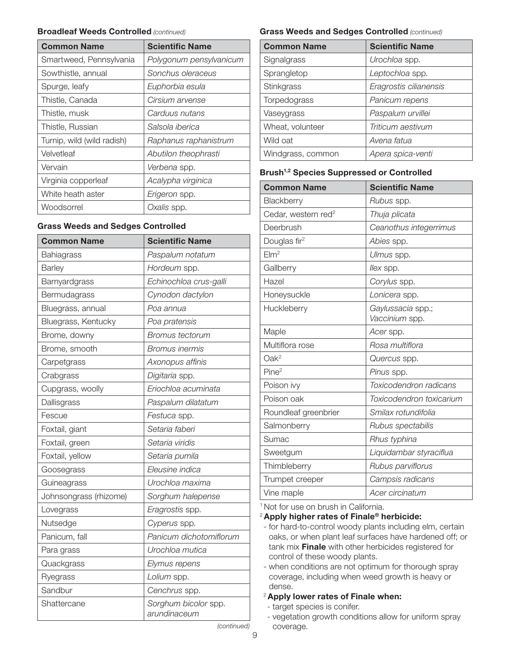#### **Broadleaf Weeds Controlled (continued)**

| <b>Common Name</b>         | <b>Scientific Name</b>  |
|----------------------------|-------------------------|
| Smartweed, Pennsylvania    | Polygonum pensylvanicum |
| Sowthistle, annual         | Sonchus oleraceus       |
| Spurge, leafy              | Euphorbia esula         |
| Thistle, Canada            | Cirsium arvense         |
| Thistle, musk              | Carduus nutans          |
| Thistle, Russian           | Salsola iberica         |
| Turnip, wild (wild radish) | Raphanus raphanistrum   |
| Velvetleaf                 | Abutilon theophrasti    |
| Vervain                    | Verbena spp.            |
| Virginia copperleaf        | Acalypha virginica      |
| White heath aster          | Erigeron spp.           |
| Woodsorrel                 | Oxalis spp.             |

#### Grass Weeds and Sedges Controlled

| <b>Common Name</b>     | <b>Scientific Name</b>               |
|------------------------|--------------------------------------|
| Bahiagrass             | Paspalum notatum                     |
| <b>Barley</b>          | Hordeum spp.                         |
| Barnyardgrass          | Echinochloa crus-galli               |
| Bermudagrass           | Cynodon dactylon                     |
| Bluegrass, annual      | Poa annua                            |
| Bluegrass, Kentucky    | Poa pratensis                        |
| Brome, downy           | <b>Bromus tectorum</b>               |
| Brome, smooth          | <b>Bromus inermis</b>                |
| Carpetgrass            | Axonopus affinis                     |
| Crabgrass              | Digitaria spp.                       |
| Cupgrass, woolly       | Eriochloa acuminata                  |
| Dallisgrass            | Paspalum dilatatum                   |
| Fescue                 | Festuca spp.                         |
| Foxtail, giant         | Setaria faberi                       |
| Foxtail, green         | Setaria viridis                      |
| Foxtail, yellow        | Setaria pumila                       |
| Goosegrass             | Eleusine indica                      |
| Guineagrass            | Urochloa maxima                      |
| Johnsongrass (rhizome) | Sorghum halepense                    |
| Lovegrass              | Eragrostis spp.                      |
| Nutsedge               | Cyperus spp.                         |
| Panicum, fall          | Panicum dichotomiflorum              |
| Para grass             | Urochloa mutica                      |
| Quackgrass             | Elymus repens                        |
| Ryegrass               | Lolium spp.                          |
| Sandbur                | Cenchrus spp.                        |
| Shattercane            | Sorghum bicolor spp.<br>arundinaceum |

#### Grass Weeds and Sedges Controlled (continued)

| <b>Common Name</b> | <b>Scientific Name</b> |
|--------------------|------------------------|
| Signalgrass        | Urochloa spp.          |
| Sprangletop        | Leptochloa spp.        |
| Stinkgrass         | Eragrostis cilianensis |
| Torpedograss       | Panicum repens         |
| Vaseygrass         | Paspalum urvillei      |
| Wheat, volunteer   | Triticum aestivum      |
| Wild oat           | Avena fatua            |
| Windgrass, common  | Apera spica-venti      |

#### Brush<sup>1,2</sup> Species Suppressed or Controlled

| <b>Common Name</b>              | <b>Scientific Name</b>              |
|---------------------------------|-------------------------------------|
| Blackberry                      | Rubus spp.                          |
| Cedar, western red <sup>2</sup> | Thuja plicata                       |
| Deerbrush                       | Ceanothus integerrimus              |
| Douglas fir <sup>2</sup>        | Abies spp.                          |
| EIm <sup>2</sup>                | Ulmus spp.                          |
| Gallberry                       | llex spp.                           |
| Hazel                           | Corylus spp.                        |
| Honeysuckle                     | Lonicera spp.                       |
| Huckleberry                     | Gaylussacia spp.;<br>Vaccinium spp. |
| Maple                           | Acer spp.                           |
| Multiflora rose                 | Rosa multiflora                     |
| $Oak^2$                         | Quercus spp.                        |
| Pine <sup>2</sup>               | Pinus spp.                          |
| Poison ivy                      | Toxicodendron radicans              |
| Poison oak                      | Toxicodendron toxicarium            |
| Roundleaf greenbrier            | Smilax rotundifolia                 |
| Salmonberry                     | Rubus spectabilis                   |
| Sumac                           | Rhus typhina                        |
| Sweetgum                        | Liquidambar styraciflua             |
| Thimbleberry                    | Rubus parviflorus                   |
| Trumpet creeper                 | Campsis radicans                    |
| Vine maple                      | Acer circinatum                     |

<sup>1</sup> Not for use on brush in California.

<sup>2</sup> Apply higher rates of Finale<sup>®</sup> herbicide:

- for hard-to-control woody plants including elm, certain oaks, or when plant leaf surfaces have hardened off; or tank mix Finale with other herbicides registered for control of these woody plants.
- when conditions are not optimum for thorough spray coverage, including when weed growth is heavy or dense.

#### <sup>2</sup> Apply lower rates of Finale when:

- target species is conifer.
- vegetation growth conditions allow for uniform spray coverage.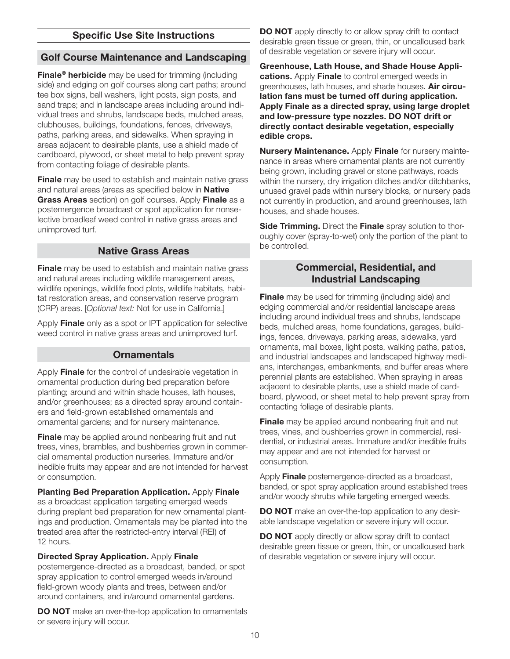### Specific Use Site Instructions

#### Golf Course Maintenance and Landscaping

Finale<sup>®</sup> herbicide may be used for trimming (including side) and edging on golf courses along cart paths; around tee box signs, ball washers, light posts, sign posts, and sand traps; and in landscape areas including around individual trees and shrubs, landscape beds, mulched areas, clubhouses, buildings, foundations, fences, driveways, paths, parking areas, and sidewalks. When spraying in areas adjacent to desirable plants, use a shield made of cardboard, plywood, or sheet metal to help prevent spray from contacting foliage of desirable plants.

Finale may be used to establish and maintain native grass and natural areas (areas as specified below in **Native Grass Areas** section) on golf courses. Apply **Finale** as a postemergence broadcast or spot application for nonselective broadleaf weed control in native grass areas and unimproved turf.

#### Native Grass Areas

**Finale** may be used to establish and maintain native grass and natural areas including wildlife management areas, wildlife openings, wildlife food plots, wildlife habitats, habitat restoration areas, and conservation reserve program (CRP) areas. [Optional text: Not for use in California.]

Apply Finale only as a spot or IPT application for selective weed control in native grass areas and unimproved turf.

#### **Ornamentals**

Apply Finale for the control of undesirable vegetation in ornamental production during bed preparation before planting; around and within shade houses, lath houses, and/or greenhouses; as a directed spray around containers and field-grown established ornamentals and ornamental gardens; and for nursery maintenance.

**Finale** may be applied around nonbearing fruit and nut trees, vines, brambles, and bushberries grown in commercial ornamental production nurseries. Immature and/or inedible fruits may appear and are not intended for harvest or consumption.

**Planting Bed Preparation Application. Apply Finale** as a broadcast application targeting emerged weeds during preplant bed preparation for new ornamental plantings and production. Ornamentals may be planted into the treated area after the restricted-entry interval (REI) of 12 hours.

#### Directed Spray Application. Apply Finale

postemergence- directed as a broadcast, banded, or spot spray application to control emerged weeds in/around field-grown woody plants and trees, between and/or around containers, and in/around ornamental gardens.

**DO NOT** make an over-the-top application to ornamentals or severe injury will occur.

DO NOT apply directly to or allow spray drift to contact desirable green tissue or green, thin, or uncalloused bark of desirable vegetation or severe injury will occur.

Greenhouse, Lath House, and Shade House Applications. Apply Finale to control emerged weeds in greenhouses, lath houses, and shade houses. Air circulation fans must be turned off during application. Apply Finale as a directed spray, using large droplet and low-pressure type nozzles. DO NOT drift or directly contact desirable vegetation, especially edible crops.

Nursery Maintenance. Apply Finale for nursery maintenance in areas where ornamental plants are not currently being grown, including gravel or stone pathways, roads within the nursery, dry irrigation ditches and/or ditchbanks, unused gravel pads within nursery blocks, or nursery pads not currently in production, and around greenhouses, lath houses, and shade houses.

Side Trimming. Direct the Finale spray solution to thoroughly cover (spray-to-wet) only the portion of the plant to be controlled.

#### Commercial, Residential, and Industrial Landscaping

**Finale** may be used for trimming (including side) and edging commercial and/or residential landscape areas including around individual trees and shrubs, landscape beds, mulched areas, home foundations, garages, buildings, fences, driveways, parking areas, sidewalks, yard ornaments, mail boxes, light posts, walking paths, patios, and industrial landscapes and landscaped highway medians, interchanges, embankments, and buffer areas where perennial plants are established. When spraying in areas adjacent to desirable plants, use a shield made of cardboard, plywood, or sheet metal to help prevent spray from contacting foliage of desirable plants.

**Finale** may be applied around nonbearing fruit and nut trees, vines, and bushberries grown in commercial, residential, or industrial areas. Immature and/or inedible fruits may appear and are not intended for harvest or consumption.

Apply **Finale** postemergence-directed as a broadcast, banded, or spot spray application around established trees and/or woody shrubs while targeting emerged weeds.

**DO NOT** make an over-the-top application to any desirable landscape vegetation or severe injury will occur.

DO NOT apply directly or allow spray drift to contact desirable green tissue or green, thin, or uncalloused bark of desirable vegetation or severe injury will occur.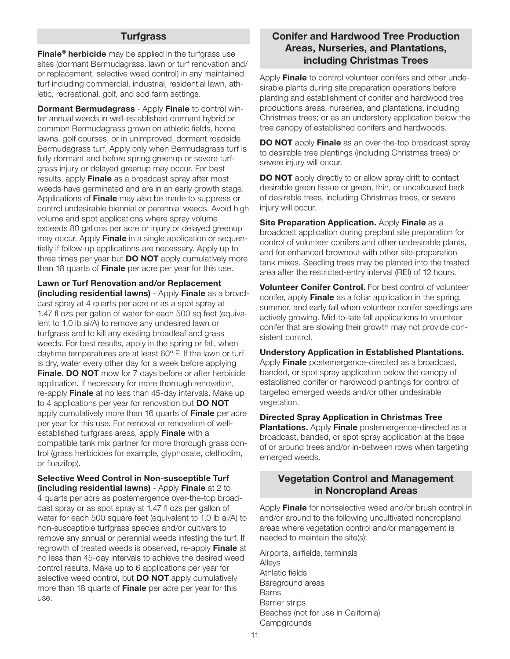#### **Turfgrass**

Finale<sup>®</sup> herbicide may be applied in the turfgrass use sites (dormant Bermudagrass, lawn or turf renovation and/ or replacement, selective weed control) in any maintained turf including commercial, industrial, residential lawn, athletic, recreational, golf, and sod farm settings.

**Dormant Bermudagrass - Apply Finale to control win**ter annual weeds in well-established dormant hybrid or common Bermudagrass grown on athletic fields, home lawns, golf courses, or in unimproved, dormant roadside Bermudagrass turf. Apply only when Bermudagrass turf is fully dormant and before spring greenup or severe turfgrass injury or delayed greenup may occur. For best results, apply Finale as a broadcast spray after most weeds have germinated and are in an early growth stage. Applications of **Finale** may also be made to suppress or control undesirable biennial or perennial weeds. Avoid high volume and spot applications where spray volume exceeds 80 gallons per acre or injury or delayed greenup may occur. Apply **Finale** in a single application or sequentially if follow-up applications are necessary. Apply up to three times per year but **DO NOT** apply cumulatively more than 18 quarts of Finale per acre per year for this use.

Lawn or Turf Renovation and/or Replacement (including residential lawns) - Apply Finale as a broadcast spray at 4 quarts per acre or as a spot spray at 1.47 fl ozs per gallon of water for each 500 sq feet (equivalent to 1.0 lb ai/A) to remove any undesired lawn or turfgrass and to kill any existing broadleaf and grass weeds. For best results, apply in the spring or fall, when daytime temperatures are at least 60º F. If the lawn or turf is dry, water every other day for a week before applying **Finale. DO NOT** mow for 7 days before or after herbicide application. If necessary for more thorough renovation, re-apply Finale at no less than 45-day intervals. Make up to 4 applications per year for renovation but **DO NOT** apply cumulatively more than 16 quarts of **Finale** per acre per year for this use. For removal or renovation of wellestablished turfgrass areas, apply Finale with a compatible tank mix partner for more thorough grass control (grass herbicides for example, glyphosate, clethodim, or fluazifop).

Selective Weed Control in Non-susceptible Turf (including residential lawns) - Apply Finale at 2 to 4 quarts per acre as postemergence over-the-top broadcast spray or as spot spray at 1.47 fl ozs per gallon of water for each 500 square feet (equivalent to 1.0 lb ai/A) to non-susceptible turfgrass species and/or cultivars to remove any annual or perennial weeds infesting the turf. If regrowth of treated weeds is observed, re-apply Finale at no less than 45-day intervals to achieve the desired weed control results. Make up to 6 applications per year for selective weed control, but **DO NOT** apply cumulatively more than 18 quarts of **Finale** per acre per year for this use.

### Conifer and Hardwood Tree Production Areas, Nurseries, and Plantations, including Christmas Trees

Apply Finale to control volunteer conifers and other undesirable plants during site preparation operations before planting and establishment of conifer and hardwood tree productions areas, nurseries, and plantations, including Christmas trees; or as an understory application below the tree canopy of established conifers and hardwoods.

DO NOT apply Finale as an over-the-top broadcast spray to desirable tree plantings (including Christmas trees) or severe injury will occur.

**DO NOT** apply directly to or allow spray drift to contact desirable green tissue or green, thin, or uncalloused bark of desirable trees, including Christmas trees, or severe injury will occur.

Site Preparation Application. Apply Finale as a broadcast application during preplant site preparation for control of volunteer conifers and other undesirable plants, and for enhanced brownout with other site-preparation tank mixes. Seedling trees may be planted into the treated area after the restricted-entry interval (REI) of 12 hours.

Volunteer Conifer Control. For best control of volunteer conifer, apply **Finale** as a foliar application in the spring, summer, and early fall when volunteer conifer seedlings are actively growing. Mid-to-late fall applications to volunteer conifer that are slowing their growth may not provide consistent control.

Understory Application in Established Plantations.

Apply **Finale** postemergence-directed as a broadcast, banded, or spot spray application below the canopy of established conifer or hardwood plantings for control of targeted emerged weeds and/or other undesirable vegetation.

Directed Spray Application in Christmas Tree

Plantations. Apply Finale postemergence-directed as a broadcast, banded, or spot spray application at the base of or around trees and/or in-between rows when targeting emerged weeds.

#### Vegetation Control and Management in Noncropland Areas

Apply Finale for nonselective weed and/or brush control in and/or around to the following uncultivated noncropland areas where vegetation control and/or management is needed to maintain the site(s):

Airports, airfields, terminals Alleys Athletic fields Bareground areas Barns Barrier strips Beaches (not for use in California) **Campgrounds**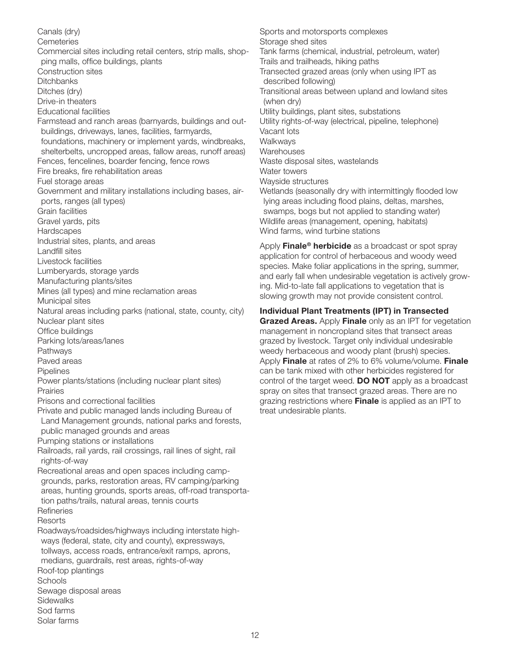Canals (dry) **Cemeteries** Commercial sites including retail centers, strip malls, shopping malls, office buildings, plants Construction sites **Ditchbanks** Ditches (dry) Drive-in theaters Educational facilities Farmstead and ranch areas (barnyards, buildings and outbuildings, driveways, lanes, facilities, farmyards, foundations, machinery or implement yards, windbreaks, shelterbelts, uncropped areas, fallow areas, runoff areas) Fences, fencelines, boarder fencing, fence rows Fire breaks, fire rehabilitation areas Fuel storage areas Government and military installations including bases, airports, ranges (all types) Grain facilities Gravel yards, pits **Hardscapes** Industrial sites, plants, and areas Landfill sites Livestock facilities Lumberyards, storage yards Manufacturing plants/sites Mines (all types) and mine reclamation areas Municipal sites Natural areas including parks (national, state, county, city) Nuclear plant sites Office buildings Parking lots/areas/lanes Pathways Paved areas Pipelines Power plants/stations (including nuclear plant sites) Prairies Prisons and correctional facilities Private and public managed lands including Bureau of Land Management grounds, national parks and forests, public managed grounds and areas Pumping stations or installations Railroads, rail yards, rail crossings, rail lines of sight, rail rights-of-way Recreational areas and open spaces including campgrounds, parks, restoration areas, RV camping/parking areas, hunting grounds, sports areas, off-road transportation paths/trails, natural areas, tennis courts **Refineries Resorts** Roadways/roadsides/highways including interstate highways (federal, state, city and county), expressways, tollways, access roads, entrance/exit ramps, aprons, medians, guardrails, rest areas, rights-of-way Roof-top plantings **Schools** Sewage disposal areas **Sidewalks** Sod farms Solar farms

Sports and motorsports complexes Storage shed sites Tank farms (chemical, industrial, petroleum, water) Trails and trailheads, hiking paths Transected grazed areas (only when using IPT as described following) Transitional areas between upland and lowland sites (when dry) Utility buildings, plant sites, substations Utility rights-of-way (electrical, pipeline, telephone) Vacant lots Walkways **Warehouses** Waste disposal sites, wastelands Water towers Wayside structures Wetlands (seasonally dry with intermittingly flooded low lying areas including flood plains, deltas, marshes, swamps, bogs but not applied to standing water) Wildlife areas (management, opening, habitats) Wind farms, wind turbine stations

Apply Finale<sup>®</sup> herbicide as a broadcast or spot spray application for control of herbaceous and woody weed species. Make foliar applications in the spring, summer, and early fall when undesirable vegetation is actively growing. Mid-to-late fall applications to vegetation that is slowing growth may not provide consistent control.

#### Individual Plant Treatments (IPT) in Transected

**Grazed Areas.** Apply Finale only as an IPT for vegetation management in noncropland sites that transect areas grazed by livestock. Target only individual undesirable weedy herbaceous and woody plant (brush) species. Apply Finale at rates of 2% to 6% volume/volume. Finale can be tank mixed with other herbicides registered for control of the target weed. DO NOT apply as a broadcast spray on sites that transect grazed areas. There are no grazing restrictions where **Finale** is applied as an IPT to treat undesirable plants.